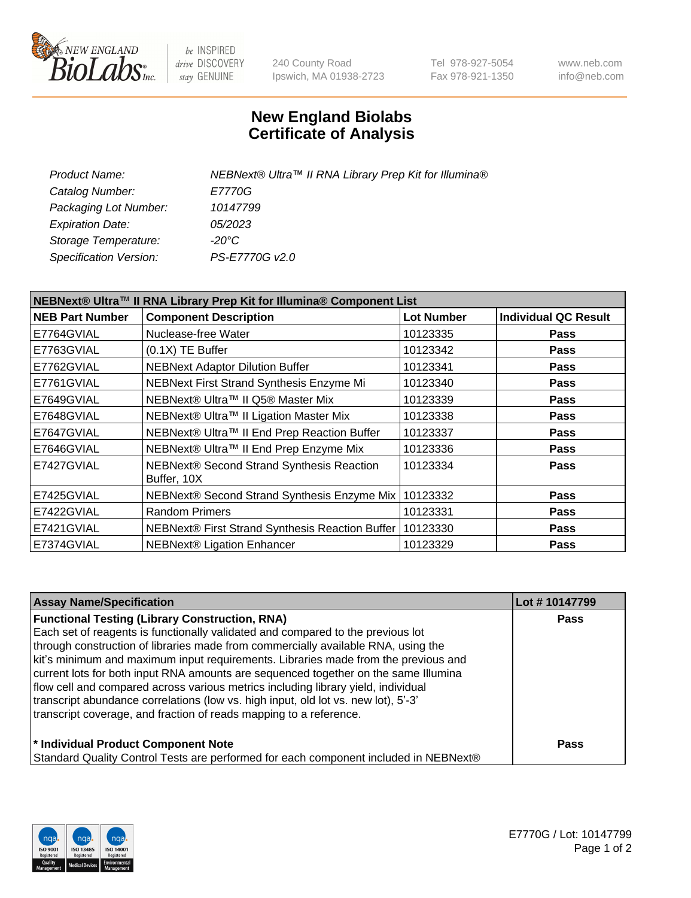

be INSPIRED drive DISCOVERY stay GENUINE

240 County Road Ipswich, MA 01938-2723 Tel 978-927-5054 Fax 978-921-1350 www.neb.com info@neb.com

## **New England Biolabs Certificate of Analysis**

| NEBNext® Ultra™ II RNA Library Prep Kit for Illumina® |
|-------------------------------------------------------|
| E7770G                                                |
| 10147799                                              |
| <i>05/2023</i>                                        |
| -20°C                                                 |
| PS-E7770G v2.0                                        |
|                                                       |

| NEBNext® Ultra™ II RNA Library Prep Kit for Illumina® Component List |                                                          |                   |                             |  |
|----------------------------------------------------------------------|----------------------------------------------------------|-------------------|-----------------------------|--|
| <b>NEB Part Number</b>                                               | <b>Component Description</b>                             | <b>Lot Number</b> | <b>Individual QC Result</b> |  |
| E7764GVIAL                                                           | Nuclease-free Water                                      | 10123335          | <b>Pass</b>                 |  |
| E7763GVIAL                                                           | $(0.1X)$ TE Buffer                                       | 10123342          | <b>Pass</b>                 |  |
| E7762GVIAL                                                           | <b>NEBNext Adaptor Dilution Buffer</b>                   | 10123341          | <b>Pass</b>                 |  |
| E7761GVIAL                                                           | NEBNext First Strand Synthesis Enzyme Mi                 | 10123340          | <b>Pass</b>                 |  |
| E7649GVIAL                                                           | NEBNext® Ultra™ II Q5® Master Mix                        | 10123339          | <b>Pass</b>                 |  |
| E7648GVIAL                                                           | NEBNext® Ultra™ II Ligation Master Mix                   | 10123338          | <b>Pass</b>                 |  |
| E7647GVIAL                                                           | NEBNext® Ultra™ II End Prep Reaction Buffer              | 10123337          | <b>Pass</b>                 |  |
| E7646GVIAL                                                           | NEBNext® Ultra™ II End Prep Enzyme Mix                   | 10123336          | <b>Pass</b>                 |  |
| E7427GVIAL                                                           | NEBNext® Second Strand Synthesis Reaction<br>Buffer, 10X | 10123334          | <b>Pass</b>                 |  |
| E7425GVIAL                                                           | NEBNext® Second Strand Synthesis Enzyme Mix              | 10123332          | <b>Pass</b>                 |  |
| E7422GVIAL                                                           | <b>Random Primers</b>                                    | 10123331          | <b>Pass</b>                 |  |
| E7421GVIAL                                                           | NEBNext® First Strand Synthesis Reaction Buffer          | 10123330          | <b>Pass</b>                 |  |
| E7374GVIAL                                                           | <b>NEBNext® Ligation Enhancer</b>                        | 10123329          | <b>Pass</b>                 |  |

| <b>Assay Name/Specification</b>                                                      | Lot #10147799 |
|--------------------------------------------------------------------------------------|---------------|
| <b>Functional Testing (Library Construction, RNA)</b>                                | <b>Pass</b>   |
| Each set of reagents is functionally validated and compared to the previous lot      |               |
| through construction of libraries made from commercially available RNA, using the    |               |
| kit's minimum and maximum input requirements. Libraries made from the previous and   |               |
| current lots for both input RNA amounts are sequenced together on the same Illumina  |               |
| flow cell and compared across various metrics including library yield, individual    |               |
| transcript abundance correlations (low vs. high input, old lot vs. new lot), 5'-3'   |               |
| transcript coverage, and fraction of reads mapping to a reference.                   |               |
| * Individual Product Component Note                                                  | Pass          |
| Standard Quality Control Tests are performed for each component included in NEBNext® |               |